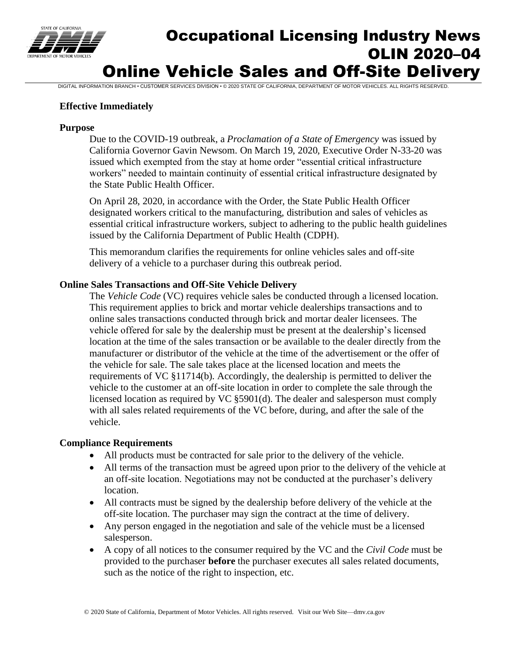

# Occupational Licensing Industry News OLIN 2020–04 Online Vehicle Sales and Off-Site Delivery

DIGITAL INFORMATION BRANCH • CUSTOMER SERVICES DIVISION • © 2020 STATE OF CALIFORNIA, DEPARTMENT OF MOTOR VEHICLES. ALL RIGHTS RESERVED.

### **Effective Immediately**

#### **Purpose**

Due to the COVID-19 outbreak, a *Proclamation of a State of Emergency* was issued by California Governor Gavin Newsom. On March 19, 2020, Executive Order N-33-20 was issued which exempted from the stay at home order "essential critical infrastructure workers" needed to maintain continuity of essential critical infrastructure designated by the State Public Health Officer.

On April 28, 2020, in accordance with the Order, the State Public Health Officer designated workers critical to the manufacturing, distribution and sales of vehicles as essential critical infrastructure workers, subject to adhering to the public health guidelines issued by the California Department of Public Health (CDPH).

This memorandum clarifies the requirements for online vehicles sales and off-site delivery of a vehicle to a purchaser during this outbreak period.

### **Online Sales Transactions and Off-Site Vehicle Delivery**

The *Vehicle Code* (VC) requires vehicle sales be conducted through a licensed location. This requirement applies to brick and mortar vehicle dealerships transactions and to online sales transactions conducted through brick and mortar dealer licensees. The vehicle offered for sale by the dealership must be present at the dealership's licensed location at the time of the sales transaction or be available to the dealer directly from the manufacturer or distributor of the vehicle at the time of the advertisement or the offer of the vehicle for sale. The sale takes place at the licensed location and meets the requirements of VC §11714(b). Accordingly, the dealership is permitted to deliver the vehicle to the customer at an off-site location in order to complete the sale through the licensed location as required by VC §5901(d). The dealer and salesperson must comply with all sales related requirements of the VC before, during, and after the sale of the vehicle.

### **Compliance Requirements**

- All products must be contracted for sale prior to the delivery of the vehicle.
- All terms of the transaction must be agreed upon prior to the delivery of the vehicle at an off-site location. Negotiations may not be conducted at the purchaser's delivery location.
- All contracts must be signed by the dealership before delivery of the vehicle at the off-site location. The purchaser may sign the contract at the time of delivery.
- Any person engaged in the negotiation and sale of the vehicle must be a licensed salesperson.
- A copy of all notices to the consumer required by the VC and the *Civil Code* must be provided to the purchaser **before** the purchaser executes all sales related documents, such as the notice of the right to inspection, etc.